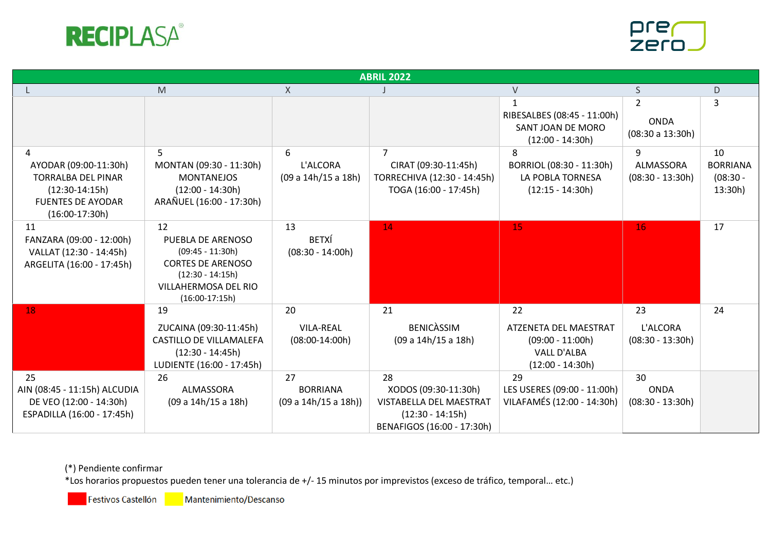



| <b>ABRIL 2022</b>                                                                                                           |                                                                                                                                             |                                               |                                                                                                           |                                                                                               |                                                   |                                                |  |
|-----------------------------------------------------------------------------------------------------------------------------|---------------------------------------------------------------------------------------------------------------------------------------------|-----------------------------------------------|-----------------------------------------------------------------------------------------------------------|-----------------------------------------------------------------------------------------------|---------------------------------------------------|------------------------------------------------|--|
|                                                                                                                             | M                                                                                                                                           | X                                             |                                                                                                           | V                                                                                             | S                                                 | D                                              |  |
|                                                                                                                             |                                                                                                                                             |                                               |                                                                                                           | RIBESALBES (08:45 - 11:00h)<br>SANT JOAN DE MORO<br>$(12:00 - 14:30h)$                        | $\overline{2}$<br><b>ONDA</b><br>(08:30 a 13:30h) | 3                                              |  |
| 4<br>AYODAR (09:00-11:30h)<br><b>TORRALBA DEL PINAR</b><br>$(12:30-14:15h)$<br><b>FUENTES DE AYODAR</b><br>$(16:00-17:30h)$ | 5.<br>MONTAN (09:30 - 11:30h)<br><b>MONTANEJOS</b><br>$(12:00 - 14:30h)$<br>ARAÑUEL (16:00 - 17:30h)                                        | 6<br>L'ALCORA<br>(09 a 14h/15 a 18h)          | CIRAT (09:30-11:45h)<br>TORRECHIVA (12:30 - 14:45h)<br>TOGA (16:00 - 17:45h)                              | 8<br>BORRIOL (08:30 - 11:30h)<br>LA POBLA TORNESA<br>$(12:15 - 14:30h)$                       | 9<br>ALMASSORA<br>$(08:30 - 13:30h)$              | 10<br><b>BORRIANA</b><br>$(08:30 -$<br>13:30h) |  |
| 11<br>FANZARA (09:00 - 12:00h)<br>VALLAT (12:30 - 14:45h)<br>ARGELITA (16:00 - 17:45h)                                      | 12<br>PUEBLA DE ARENOSO<br>$(09:45 - 11:30h)$<br><b>CORTES DE ARENOSO</b><br>$(12:30 - 14:15h)$<br>VILLAHERMOSA DEL RIO<br>$(16:00-17:15h)$ | 13<br><b>BETXÍ</b><br>$(08:30 - 14:00h)$      | 14                                                                                                        | 15                                                                                            | 16                                                | 17                                             |  |
| 18                                                                                                                          | 19<br>ZUCAINA (09:30-11:45h)<br>CASTILLO DE VILLAMALEFA<br>$(12:30 - 14:45h)$<br>LUDIENTE (16:00 - 17:45h)                                  | 20<br><b>VILA-REAL</b><br>$(08:00-14:00h)$    | 21<br><b>BENICASSIM</b><br>(09 a 14h/15 a 18h)                                                            | 22<br>ATZENETA DEL MAESTRAT<br>$(09:00 - 11:00h)$<br><b>VALL D'ALBA</b><br>$(12:00 - 14:30h)$ | 23<br>L'ALCORA<br>$(08:30 - 13:30h)$              | 24                                             |  |
| 25<br>AIN (08:45 - 11:15h) ALCUDIA<br>DE VEO (12:00 - 14:30h)<br>ESPADILLA (16:00 - 17:45h)                                 | 26<br>ALMASSORA<br>(09 a 14h/15 a 18h)                                                                                                      | 27<br><b>BORRIANA</b><br>(09 a 14h/15 a 18h)) | 28<br>XODOS (09:30-11:30h)<br>VISTABELLA DEL MAESTRAT<br>$(12:30 - 14:15h)$<br>BENAFIGOS (16:00 - 17:30h) | 29<br>LES USERES (09:00 - 11:00h)<br>VILAFAMÉS (12:00 - 14:30h)                               | 30<br><b>ONDA</b><br>$(08:30 - 13:30h)$           |                                                |  |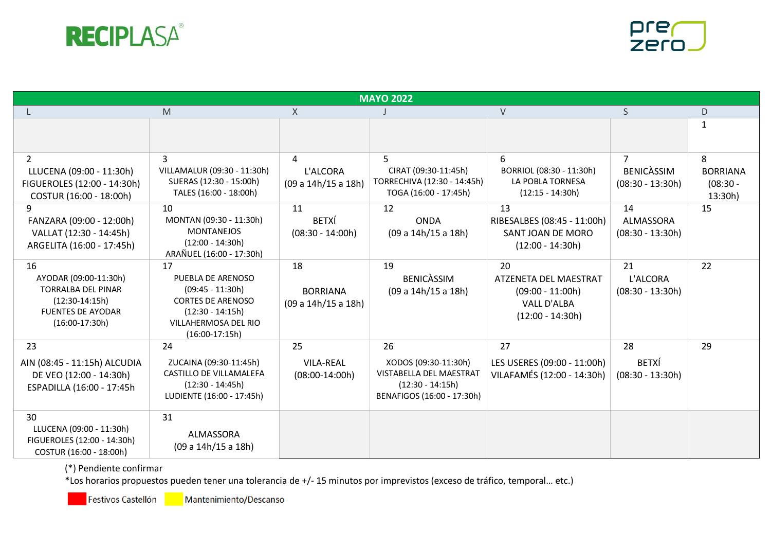



| <b>MAYO 2022</b>                                                                                                             |                                                                                                                                             |                                              |                                                                                                           |                                                                                               |                                              |                                               |  |
|------------------------------------------------------------------------------------------------------------------------------|---------------------------------------------------------------------------------------------------------------------------------------------|----------------------------------------------|-----------------------------------------------------------------------------------------------------------|-----------------------------------------------------------------------------------------------|----------------------------------------------|-----------------------------------------------|--|
|                                                                                                                              | M                                                                                                                                           | X                                            |                                                                                                           | V                                                                                             | S                                            | D.                                            |  |
|                                                                                                                              |                                                                                                                                             |                                              |                                                                                                           |                                                                                               |                                              | $\mathbf{1}$                                  |  |
| $\overline{2}$<br>LLUCENA (09:00 - 11:30h)<br>FIGUEROLES (12:00 - 14:30h)<br>COSTUR (16:00 - 18:00h)                         | 3<br>VILLAMALUR (09:30 - 11:30h)<br>SUERAS (12:30 - 15:00h)<br>TALES (16:00 - 18:00h)                                                       | 4<br>L'ALCORA<br>(09 a 14h/15 a 18h)         | 5<br>CIRAT (09:30-11:45h)<br>TORRECHIVA (12:30 - 14:45h)<br>TOGA (16:00 - 17:45h)                         | 6<br>BORRIOL (08:30 - 11:30h)<br>LA POBLA TORNESA<br>$(12:15 - 14:30h)$                       | 7<br><b>BENICASSIM</b><br>$(08:30 - 13:30h)$ | 8<br><b>BORRIANA</b><br>$(08:30 -$<br>13:30h) |  |
| 9<br>FANZARA (09:00 - 12:00h)<br>VALLAT (12:30 - 14:45h)<br>ARGELITA (16:00 - 17:45h)                                        | 10<br>MONTAN (09:30 - 11:30h)<br><b>MONTANEJOS</b><br>$(12:00 - 14:30h)$<br>ARAÑUEL (16:00 - 17:30h)                                        | 11<br><b>BETXÍ</b><br>$(08:30 - 14:00h)$     | 12<br><b>ONDA</b><br>(09 a 14h/15 a 18h)                                                                  | 13<br>RIBESALBES (08:45 - 11:00h)<br>SANT JOAN DE MORO<br>$(12:00 - 14:30h)$                  | 14<br>ALMASSORA<br>$(08:30 - 13:30h)$        | 15                                            |  |
| 16<br>AYODAR (09:00-11:30h)<br><b>TORRALBA DEL PINAR</b><br>$(12:30-14:15h)$<br><b>FUENTES DE AYODAR</b><br>$(16:00-17:30h)$ | 17<br>PUEBLA DE ARENOSO<br>$(09:45 - 11:30h)$<br><b>CORTES DE ARENOSO</b><br>$(12:30 - 14:15h)$<br>VILLAHERMOSA DEL RIO<br>$(16:00-17:15h)$ | 18<br><b>BORRIANA</b><br>(09 a 14h/15 a 18h) | 19<br><b>BENICASSIM</b><br>(09 a 14h/15 a 18h)                                                            | 20<br>ATZENETA DEL MAESTRAT<br>$(09:00 - 11:00h)$<br><b>VALL D'ALBA</b><br>$(12:00 - 14:30h)$ | 21<br>L'ALCORA<br>$(08:30 - 13:30h)$         | 22                                            |  |
| 23<br>AIN (08:45 - 11:15h) ALCUDIA<br>DE VEO (12:00 - 14:30h)<br>ESPADILLA (16:00 - 17:45h                                   | 24<br>ZUCAINA (09:30-11:45h)<br>CASTILLO DE VILLAMALEFA<br>$(12:30 - 14:45h)$<br>LUDIENTE (16:00 - 17:45h)                                  | 25<br><b>VILA-REAL</b><br>$(08:00-14:00h)$   | 26<br>XODOS (09:30-11:30h)<br>VISTABELLA DEL MAESTRAT<br>$(12:30 - 14:15h)$<br>BENAFIGOS (16:00 - 17:30h) | 27<br>LES USERES (09:00 - 11:00h)<br>VILAFAMÉS (12:00 - 14:30h)                               | 28<br><b>BETXÍ</b><br>$(08:30 - 13:30h)$     | 29                                            |  |
| 30<br>LLUCENA (09:00 - 11:30h)<br>FIGUEROLES (12:00 - 14:30h)<br>COSTUR (16:00 - 18:00h)                                     | 31<br>ALMASSORA<br>(09 a 14h/15 a 18h)                                                                                                      |                                              |                                                                                                           |                                                                                               |                                              |                                               |  |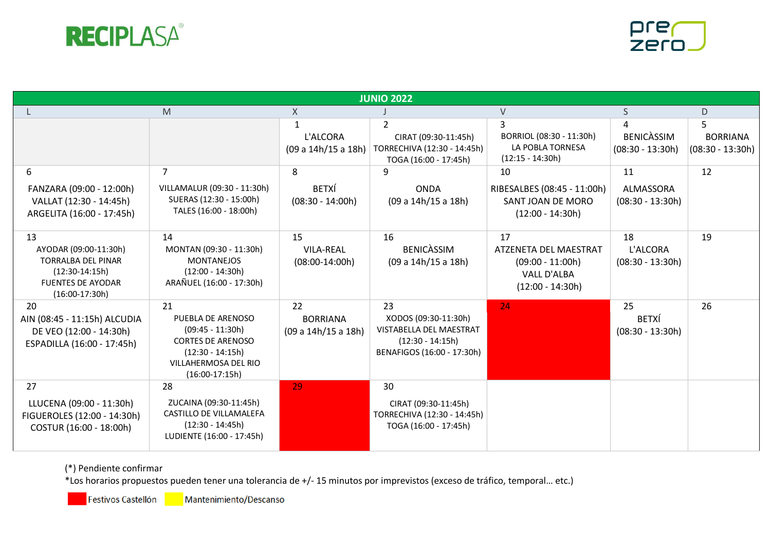



| <b>JUNIO 2022</b>                                                                                                            |                                                                                                                                             |                                              |                                                                                                           |                                                                                               |                                              |                                       |  |
|------------------------------------------------------------------------------------------------------------------------------|---------------------------------------------------------------------------------------------------------------------------------------------|----------------------------------------------|-----------------------------------------------------------------------------------------------------------|-----------------------------------------------------------------------------------------------|----------------------------------------------|---------------------------------------|--|
|                                                                                                                              | M                                                                                                                                           | X                                            |                                                                                                           | V                                                                                             | S.                                           | D                                     |  |
|                                                                                                                              |                                                                                                                                             | L'ALCORA<br>(09 a 14h/15 a 18h)              | $\mathcal{P}$<br>CIRAT (09:30-11:45h)<br>TORRECHIVA (12:30 - 14:45h)<br>TOGA (16:00 - 17:45h)             | BORRIOL (08:30 - 11:30h)<br>LA POBLA TORNESA<br>$(12:15 - 14:30h)$                            | 4<br><b>BENICASSIM</b><br>$(08:30 - 13:30h)$ | <b>BORRIANA</b><br>$(08:30 - 13:30h)$ |  |
| 6<br>FANZARA (09:00 - 12:00h)<br>VALLAT (12:30 - 14:45h)<br>ARGELITA (16:00 - 17:45h)                                        | VILLAMALUR (09:30 - 11:30h)<br>SUERAS (12:30 - 15:00h)<br>TALES (16:00 - 18:00h)                                                            | 8<br><b>BETXÍ</b><br>$(08:30 - 14:00h)$      | 9<br><b>ONDA</b><br>(09 a 14h/15 a 18h)                                                                   | 10<br>RIBESALBES (08:45 - 11:00h)<br>SANT JOAN DE MORO<br>$(12:00 - 14:30h)$                  | 11<br>ALMASSORA<br>$(08:30 - 13:30h)$        | 12                                    |  |
| 13<br>AYODAR (09:00-11:30h)<br><b>TORRALBA DEL PINAR</b><br>$(12:30-14:15h)$<br><b>FUENTES DE AYODAR</b><br>$(16:00-17:30h)$ | 14<br>MONTAN (09:30 - 11:30h)<br><b>MONTANEJOS</b><br>$(12:00 - 14:30h)$<br>ARAÑUEL (16:00 - 17:30h)                                        | 15<br><b>VILA-REAL</b><br>$(08:00-14:00h)$   | 16<br><b>BENICASSIM</b><br>(09 a 14h/15 a 18h)                                                            | 17<br>ATZENETA DEL MAESTRAT<br>$(09:00 - 11:00h)$<br><b>VALL D'ALBA</b><br>$(12:00 - 14:30h)$ | 18<br>L'ALCORA<br>$(08:30 - 13:30h)$         | 19                                    |  |
| 20<br>AIN (08:45 - 11:15h) ALCUDIA<br>DE VEO (12:00 - 14:30h)<br>ESPADILLA (16:00 - 17:45h)                                  | 21<br>PUEBLA DE ARENOSO<br>$(09:45 - 11:30h)$<br><b>CORTES DE ARENOSO</b><br>$(12:30 - 14:15h)$<br>VILLAHERMOSA DEL RIO<br>$(16:00-17:15h)$ | 22<br><b>BORRIANA</b><br>(09 a 14h/15 a 18h) | 23<br>XODOS (09:30-11:30h)<br>VISTABELLA DEL MAESTRAT<br>$(12:30 - 14:15h)$<br>BENAFIGOS (16:00 - 17:30h) | 24                                                                                            | 25<br><b>BETXÍ</b><br>$(08:30 - 13:30h)$     | 26                                    |  |
| 27<br>LLUCENA (09:00 - 11:30h)<br>FIGUEROLES (12:00 - 14:30h)<br>COSTUR (16:00 - 18:00h)                                     | 28<br>ZUCAINA (09:30-11:45h)<br>CASTILLO DE VILLAMALEFA<br>$(12:30 - 14:45h)$<br>LUDIENTE (16:00 - 17:45h)                                  | 29                                           | 30<br>CIRAT (09:30-11:45h)<br>TORRECHIVA (12:30 - 14:45h)<br>TOGA (16:00 - 17:45h)                        |                                                                                               |                                              |                                       |  |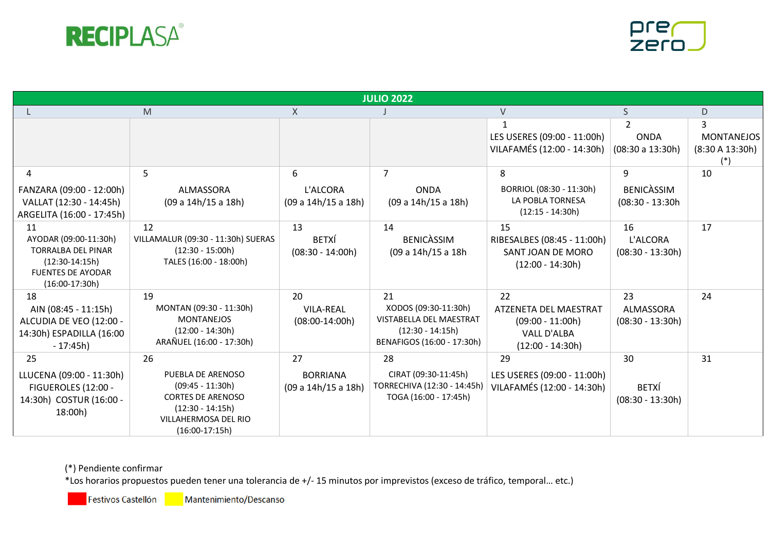



|                                                                                                                              | <b>JULIO 2022</b>                                                                                                                           |                                              |                                                                                                           |                                                                                               |                                              |                                      |  |  |
|------------------------------------------------------------------------------------------------------------------------------|---------------------------------------------------------------------------------------------------------------------------------------------|----------------------------------------------|-----------------------------------------------------------------------------------------------------------|-----------------------------------------------------------------------------------------------|----------------------------------------------|--------------------------------------|--|--|
|                                                                                                                              | $\mathsf{M}% _{T}=\mathsf{M}_{T}\!\left( a,b\right) ,\ \mathsf{M}_{T}=\mathsf{M}_{T}\!\left( a,b\right) ,$                                  | X                                            |                                                                                                           | $\vee$                                                                                        | S.                                           | D                                    |  |  |
|                                                                                                                              |                                                                                                                                             |                                              |                                                                                                           | LES USERES (09:00 - 11:00h)<br>VILAFAMÉS (12:00 - 14:30h)                                     | <b>ONDA</b><br>(08:30 a 13:30h)              | <b>MONTANEJOS</b><br>(8:30 A 13:30h) |  |  |
| 4<br>FANZARA (09:00 - 12:00h)<br>VALLAT (12:30 - 14:45h)<br>ARGELITA (16:00 - 17:45h)                                        | 5<br>ALMASSORA<br>(09 a 14h/15 a 18h)                                                                                                       | 6<br>L'ALCORA<br>(09 a 14h/15 a 18h)         | $\overline{7}$<br><b>ONDA</b><br>(09 a 14h/15 a 18h)                                                      | 8<br>BORRIOL (08:30 - 11:30h)<br>LA POBLA TORNESA<br>$(12:15 - 14:30h)$                       | 9<br><b>BENICASSIM</b><br>$(08:30 - 13:30h)$ | 10                                   |  |  |
| 11<br>AYODAR (09:00-11:30h)<br><b>TORRALBA DEL PINAR</b><br>$(12:30-14:15h)$<br><b>FUENTES DE AYODAR</b><br>$(16:00-17:30h)$ | 12<br>VILLAMALUR (09:30 - 11:30h) SUERAS<br>$(12:30 - 15:00h)$<br>TALES (16:00 - 18:00h)                                                    | 13<br><b>BETXÍ</b><br>$(08:30 - 14:00h)$     | 14<br><b>BENICASSIM</b><br>(09 a 14h/15 a 18h                                                             | 15<br>RIBESALBES (08:45 - 11:00h)<br>SANT JOAN DE MORO<br>$(12:00 - 14:30h)$                  | 16<br>L'ALCORA<br>$(08:30 - 13:30h)$         | 17                                   |  |  |
| 18<br>AIN (08:45 - 11:15h)<br>ALCUDIA DE VEO (12:00 -<br>14:30h) ESPADILLA (16:00<br>$-17:45h$                               | 19<br>MONTAN (09:30 - 11:30h)<br><b>MONTANEJOS</b><br>$(12:00 - 14:30h)$<br>ARAÑUEL (16:00 - 17:30h)                                        | 20<br><b>VILA-REAL</b><br>$(08:00-14:00h)$   | 21<br>XODOS (09:30-11:30h)<br>VISTABELLA DEL MAESTRAT<br>$(12:30 - 14:15h)$<br>BENAFIGOS (16:00 - 17:30h) | 22<br>ATZENETA DEL MAESTRAT<br>$(09:00 - 11:00h)$<br><b>VALL D'ALBA</b><br>$(12:00 - 14:30h)$ | 23<br>ALMASSORA<br>$(08:30 - 13:30h)$        | 24                                   |  |  |
| 25<br>LLUCENA (09:00 - 11:30h)<br>FIGUEROLES (12:00 -<br>14:30h) COSTUR (16:00 -<br>18:00h)                                  | 26<br>PUEBLA DE ARENOSO<br>$(09:45 - 11:30h)$<br><b>CORTES DE ARENOSO</b><br>$(12:30 - 14:15h)$<br>VILLAHERMOSA DEL RIO<br>$(16:00-17:15h)$ | 27<br><b>BORRIANA</b><br>(09 a 14h/15 a 18h) | 28<br>CIRAT (09:30-11:45h)<br>TORRECHIVA (12:30 - 14:45h)<br>TOGA (16:00 - 17:45h)                        | 29<br>LES USERES (09:00 - 11:00h)<br>VILAFAMÉS (12:00 - 14:30h)                               | 30<br><b>BETXÍ</b><br>$(08:30 - 13:30h)$     | 31                                   |  |  |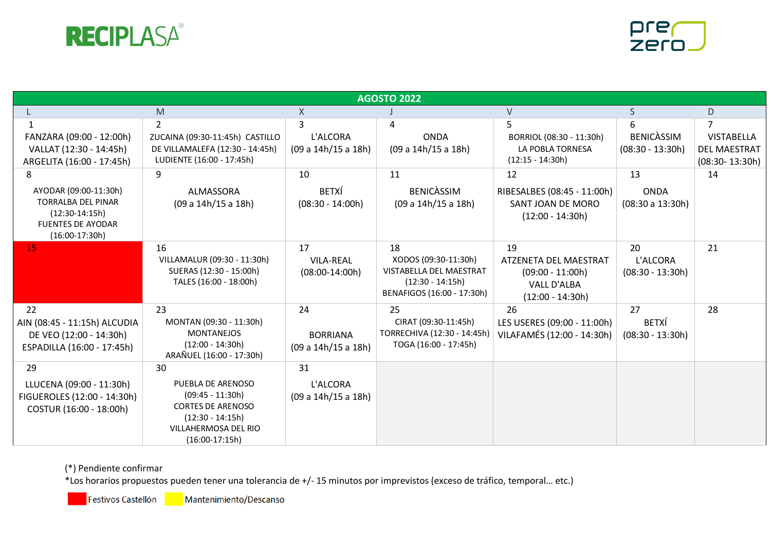



| <b>AGOSTO 2022</b>                                                                                                          |                                                                                                                                             |                                              |                                                                                                           |                                                                                               |                                              |                                                                |  |
|-----------------------------------------------------------------------------------------------------------------------------|---------------------------------------------------------------------------------------------------------------------------------------------|----------------------------------------------|-----------------------------------------------------------------------------------------------------------|-----------------------------------------------------------------------------------------------|----------------------------------------------|----------------------------------------------------------------|--|
|                                                                                                                             | M                                                                                                                                           | $\times$                                     |                                                                                                           | V                                                                                             | S.                                           | D                                                              |  |
| FANZARA (09:00 - 12:00h)<br>VALLAT (12:30 - 14:45h)<br>ARGELITA (16:00 - 17:45h)                                            | 2<br>ZUCAINA (09:30-11:45h) CASTILLO<br>DE VILLAMALEFA (12:30 - 14:45h)<br>LUDIENTE (16:00 - 17:45h)                                        | 3<br>L'ALCORA<br>(09 a 14h/15 a 18h)         | <b>ONDA</b><br>(09 a 14h/15 a 18h)                                                                        | BORRIOL (08:30 - 11:30h)<br>LA POBLA TORNESA<br>$(12:15 - 14:30h)$                            | 6<br><b>BENICASSIM</b><br>$(08:30 - 13:30h)$ | <b>VISTABELLA</b><br><b>DEL MAESTRAT</b><br>$(08:30 - 13:30h)$ |  |
| 8<br>AYODAR (09:00-11:30h)<br><b>TORRALBA DEL PINAR</b><br>$(12:30-14:15h)$<br><b>FUENTES DE AYODAR</b><br>$(16:00-17:30h)$ | 9<br>ALMASSORA<br>(09 a 14h/15 a 18h)                                                                                                       | 10<br><b>BETXÍ</b><br>$(08:30 - 14:00h)$     | 11<br><b>BENICASSIM</b><br>(09 a 14h/15 a 18h)                                                            | 12<br>RIBESALBES (08:45 - 11:00h)<br>SANT JOAN DE MORO<br>$(12:00 - 14:30h)$                  | 13<br><b>ONDA</b><br>(08:30 a 13:30h)        | 14                                                             |  |
| 15                                                                                                                          | 16<br>VILLAMALUR (09:30 - 11:30h)<br>SUERAS (12:30 - 15:00h)<br>TALES (16:00 - 18:00h)                                                      | 17<br><b>VILA-REAL</b><br>$(08:00-14:00h)$   | 18<br>XODOS (09:30-11:30h)<br>VISTABELLA DEL MAESTRAT<br>$(12:30 - 14:15h)$<br>BENAFIGOS (16:00 - 17:30h) | 19<br>ATZENETA DEL MAESTRAT<br>$(09:00 - 11:00h)$<br><b>VALL D'ALBA</b><br>$(12:00 - 14:30h)$ | 20<br>L'ALCORA<br>$(08:30 - 13:30h)$         | 21                                                             |  |
| 22<br>AIN (08:45 - 11:15h) ALCUDIA<br>DE VEO (12:00 - 14:30h)<br>ESPADILLA (16:00 - 17:45h)                                 | 23<br>MONTAN (09:30 - 11:30h)<br><b>MONTANEJOS</b><br>$(12:00 - 14:30h)$<br>ARAÑUEL (16:00 - 17:30h)                                        | 24<br><b>BORRIANA</b><br>(09 a 14h/15 a 18h) | 25<br>CIRAT (09:30-11:45h)<br>TORRECHIVA (12:30 - 14:45h)<br>TOGA (16:00 - 17:45h)                        | 26<br>LES USERES (09:00 - 11:00h)<br>VILAFAMÉS (12:00 - 14:30h)                               | 27<br><b>BETXÍ</b><br>$(08:30 - 13:30h)$     | 28                                                             |  |
| 29<br>LLUCENA (09:00 - 11:30h)<br>FIGUEROLES (12:00 - 14:30h)<br>COSTUR (16:00 - 18:00h)                                    | 30<br>PUEBLA DE ARENOSO<br>$(09:45 - 11:30h)$<br><b>CORTES DE ARENOSO</b><br>$(12:30 - 14:15h)$<br>VILLAHERMOSA DEL RIO<br>$(16:00-17:15h)$ | 31<br>L'ALCORA<br>(09 a 14h/15 a 18h)        |                                                                                                           |                                                                                               |                                              |                                                                |  |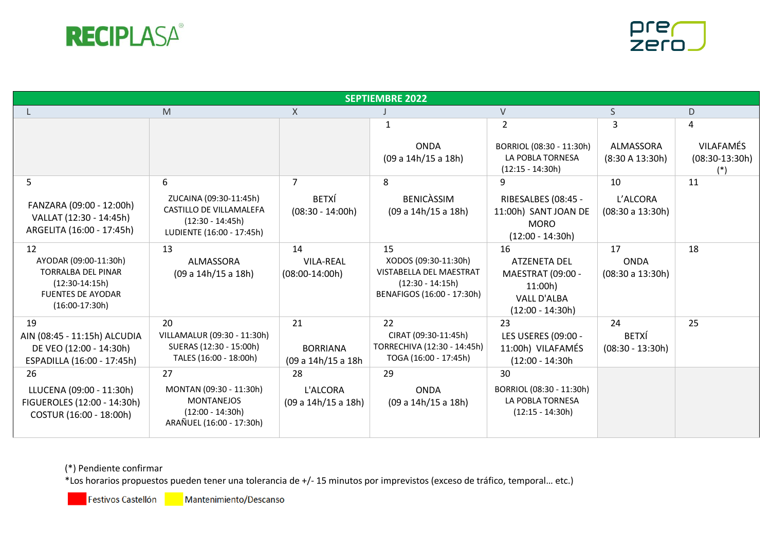



| <b>SEPTIEMBRE 2022</b>                                                                                                       |                                                                                                      |                                             |                                                                                                           |                                                                                        |                                          |                                               |  |
|------------------------------------------------------------------------------------------------------------------------------|------------------------------------------------------------------------------------------------------|---------------------------------------------|-----------------------------------------------------------------------------------------------------------|----------------------------------------------------------------------------------------|------------------------------------------|-----------------------------------------------|--|
|                                                                                                                              | M                                                                                                    | $\mathsf{X}$                                |                                                                                                           | V                                                                                      | S.                                       | D                                             |  |
|                                                                                                                              |                                                                                                      |                                             | $\mathbf{1}$                                                                                              | $\overline{2}$                                                                         | 3                                        | 4                                             |  |
|                                                                                                                              |                                                                                                      |                                             | <b>ONDA</b><br>(09 a 14h/15 a 18h)                                                                        | BORRIOL (08:30 - 11:30h)<br>LA POBLA TORNESA<br>$(12:15 - 14:30h)$                     | <b>ALMASSORA</b><br>(8:30 A 13:30h)      | <b>VILAFAMÉS</b><br>$(08:30-13:30h)$<br>$(*)$ |  |
| 5                                                                                                                            | 6                                                                                                    | $\overline{7}$                              | 8                                                                                                         | 9                                                                                      | 10                                       | 11                                            |  |
| FANZARA (09:00 - 12:00h)<br>VALLAT (12:30 - 14:45h)<br>ARGELITA (16:00 - 17:45h)                                             | ZUCAINA (09:30-11:45h)<br>CASTILLO DE VILLAMALEFA<br>$(12:30 - 14:45h)$<br>LUDIENTE (16:00 - 17:45h) | <b>BETXÍ</b><br>$(08:30 - 14:00h)$          | <b>BENICASSIM</b><br>(09 a 14h/15 a 18h)                                                                  | RIBESALBES (08:45 -<br>11:00h) SANT JOAN DE<br><b>MORO</b><br>$(12:00 - 14:30h)$       | L'ALCORA<br>(08:30 a 13:30h)             |                                               |  |
| 12<br>AYODAR (09:00-11:30h)<br><b>TORRALBA DEL PINAR</b><br>$(12:30-14:15h)$<br><b>FUENTES DE AYODAR</b><br>$(16:00-17:30h)$ | 13<br>ALMASSORA<br>(09 a 14h/15 a 18h)                                                               | 14<br><b>VILA-REAL</b><br>$(08:00-14:00h)$  | 15<br>XODOS (09:30-11:30h)<br>VISTABELLA DEL MAESTRAT<br>$(12:30 - 14:15h)$<br>BENAFIGOS (16:00 - 17:30h) | 16<br>ATZENETA DEL<br>MAESTRAT (09:00 -<br>11:00h<br>VALL D'ALBA<br>$(12:00 - 14:30h)$ | 17<br><b>ONDA</b><br>(08:30 a 13:30h)    | 18                                            |  |
| 19<br>AIN (08:45 - 11:15h) ALCUDIA<br>DE VEO (12:00 - 14:30h)<br>ESPADILLA (16:00 - 17:45h)                                  | 20<br>VILLAMALUR (09:30 - 11:30h)<br>SUERAS (12:30 - 15:00h)<br>TALES (16:00 - 18:00h)               | 21<br><b>BORRIANA</b><br>(09 a 14h/15 a 18h | 22<br>CIRAT (09:30-11:45h)<br>TORRECHIVA (12:30 - 14:45h)<br>TOGA (16:00 - 17:45h)                        | 23<br>LES USERES (09:00 -<br>11:00h) VILAFAMÉS<br>$(12:00 - 14:30h)$                   | 24<br><b>BETXÍ</b><br>$(08:30 - 13:30h)$ | 25                                            |  |
| 26<br>LLUCENA (09:00 - 11:30h)<br>FIGUEROLES (12:00 - 14:30h)<br>COSTUR (16:00 - 18:00h)                                     | 27<br>MONTAN (09:30 - 11:30h)<br><b>MONTANEJOS</b><br>$(12:00 - 14:30h)$<br>ARAÑUEL (16:00 - 17:30h) | 28<br>L'ALCORA<br>(09 a 14h/15 a 18h)       | 29<br><b>ONDA</b><br>(09 a 14h/15 a 18h)                                                                  | 30<br>BORRIOL (08:30 - 11:30h)<br>LA POBLA TORNESA<br>$(12:15 - 14:30h)$               |                                          |                                               |  |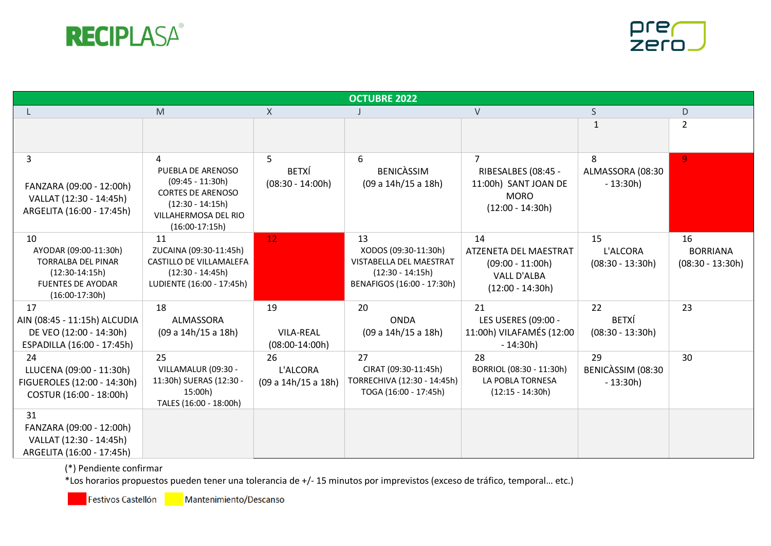



| <b>OCTUBRE 2022</b>                                                                                                          |                                                                                                                                            |                                            |                                                                                                           |                                                                                               |                                          |                                             |  |
|------------------------------------------------------------------------------------------------------------------------------|--------------------------------------------------------------------------------------------------------------------------------------------|--------------------------------------------|-----------------------------------------------------------------------------------------------------------|-----------------------------------------------------------------------------------------------|------------------------------------------|---------------------------------------------|--|
|                                                                                                                              | $\mathsf{M}% _{T}=\mathsf{M}_{T}\!\left( a,b\right) ,\ \mathsf{M}_{T}=\mathsf{M}_{T}\!\left( a,b\right) ,$                                 | X                                          |                                                                                                           | V                                                                                             | S                                        | D                                           |  |
|                                                                                                                              |                                                                                                                                            |                                            |                                                                                                           |                                                                                               | 1                                        | $\overline{2}$                              |  |
| 3<br>FANZARA (09:00 - 12:00h)<br>VALLAT (12:30 - 14:45h)<br>ARGELITA (16:00 - 17:45h)                                        | 4<br>PUEBLA DE ARENOSO<br>$(09:45 - 11:30h)$<br><b>CORTES DE ARENOSO</b><br>$(12:30 - 14:15h)$<br>VILLAHERMOSA DEL RIO<br>$(16:00-17:15h)$ | 5<br><b>BETXÍ</b><br>$(08:30 - 14:00h)$    | 6<br><b>BENICASSIM</b><br>(09 a 14h/15 a 18h)                                                             | RIBESALBES (08:45 -<br>11:00h) SANT JOAN DE<br><b>MORO</b><br>$(12:00 - 14:30h)$              | 8<br>ALMASSORA (08:30<br>$-13:30h$       | $\overline{9}$                              |  |
| 10<br>AYODAR (09:00-11:30h)<br><b>TORRALBA DEL PINAR</b><br>$(12:30-14:15h)$<br><b>FUENTES DE AYODAR</b><br>$(16:00-17:30h)$ | 11<br>ZUCAINA (09:30-11:45h)<br>CASTILLO DE VILLAMALEFA<br>$(12:30 - 14:45h)$<br>LUDIENTE (16:00 - 17:45h)                                 | 12                                         | 13<br>XODOS (09:30-11:30h)<br>VISTABELLA DEL MAESTRAT<br>$(12:30 - 14:15h)$<br>BENAFIGOS (16:00 - 17:30h) | 14<br>ATZENETA DEL MAESTRAT<br>$(09:00 - 11:00h)$<br><b>VALL D'ALBA</b><br>$(12:00 - 14:30h)$ | 15<br>L'ALCORA<br>$(08:30 - 13:30h)$     | 16<br><b>BORRIANA</b><br>$(08:30 - 13:30h)$ |  |
| 17<br>AIN (08:45 - 11:15h) ALCUDIA<br>DE VEO (12:00 - 14:30h)<br>ESPADILLA (16:00 - 17:45h)                                  | 18<br>ALMASSORA<br>(09 a 14h/15 a 18h)                                                                                                     | 19<br><b>VILA-REAL</b><br>$(08:00-14:00h)$ | 20<br><b>ONDA</b><br>(09 a 14h/15 a 18h)                                                                  | 21<br>LES USERES (09:00 -<br>11:00h) VILAFAMÉS (12:00<br>$-14:30h$                            | 22<br><b>BETXÍ</b><br>$(08:30 - 13:30h)$ | 23                                          |  |
| 24<br>LLUCENA (09:00 - 11:30h)<br>FIGUEROLES (12:00 - 14:30h)<br>COSTUR (16:00 - 18:00h)                                     | 25<br>VILLAMALUR (09:30 -<br>11:30h) SUERAS (12:30 -<br>15:00h)<br>TALES (16:00 - 18:00h)                                                  | 26<br>L'ALCORA<br>(09 a 14h/15 a 18h)      | 27<br>CIRAT (09:30-11:45h)<br>TORRECHIVA (12:30 - 14:45h)<br>TOGA (16:00 - 17:45h)                        | 28<br>BORRIOL (08:30 - 11:30h)<br>LA POBLA TORNESA<br>$(12:15 - 14:30h)$                      | 29<br>BENICASSIM (08:30<br>$-13:30h$     | 30                                          |  |
| 31<br>FANZARA (09:00 - 12:00h)<br>VALLAT (12:30 - 14:45h)<br>ARGELITA (16:00 - 17:45h)                                       |                                                                                                                                            |                                            |                                                                                                           |                                                                                               |                                          |                                             |  |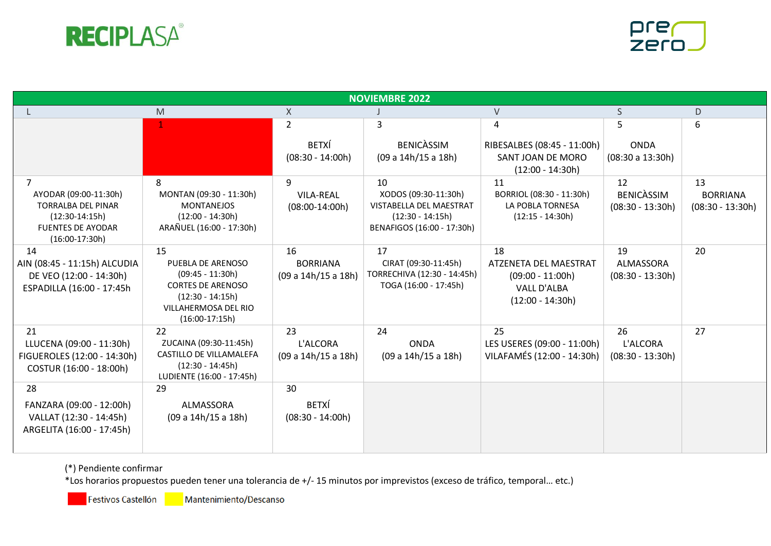



| <b>NOVIEMBRE 2022</b>                                                                                                       |                                                                                                                                             |                                              |                                                                                                           |                                                                                               |                                               |                                             |  |
|-----------------------------------------------------------------------------------------------------------------------------|---------------------------------------------------------------------------------------------------------------------------------------------|----------------------------------------------|-----------------------------------------------------------------------------------------------------------|-----------------------------------------------------------------------------------------------|-----------------------------------------------|---------------------------------------------|--|
|                                                                                                                             | $\mathsf{M}% _{T}=\mathsf{M}_{T}\!\left( a,b\right) ,\ \mathsf{M}_{T}=\mathsf{M}_{T}\!\left( a,b\right) ,$                                  | X                                            |                                                                                                           | $\vee$                                                                                        | S                                             | D                                           |  |
|                                                                                                                             | $\mathbf{1}$                                                                                                                                | $\overline{2}$                               | 3                                                                                                         | 4                                                                                             | 5                                             | 6                                           |  |
|                                                                                                                             |                                                                                                                                             | <b>BETXÍ</b><br>$(08:30 - 14:00h)$           | <b>BENICASSIM</b><br>(09 a 14h/15 a 18h)                                                                  | RIBESALBES (08:45 - 11:00h)<br>SANT JOAN DE MORO<br>$(12:00 - 14:30h)$                        | <b>ONDA</b><br>(08:30 a 13:30h)               |                                             |  |
| 7<br>AYODAR (09:00-11:30h)<br><b>TORRALBA DEL PINAR</b><br>$(12:30-14:15h)$<br><b>FUENTES DE AYODAR</b><br>$(16:00-17:30h)$ | 8<br>MONTAN (09:30 - 11:30h)<br><b>MONTANEJOS</b><br>$(12:00 - 14:30h)$<br>ARAÑUEL (16:00 - 17:30h)                                         | 9<br><b>VILA-REAL</b><br>$(08:00-14:00h)$    | 10<br>XODOS (09:30-11:30h)<br>VISTABELLA DEL MAESTRAT<br>$(12:30 - 14:15h)$<br>BENAFIGOS (16:00 - 17:30h) | 11<br>BORRIOL (08:30 - 11:30h)<br>LA POBLA TORNESA<br>$(12:15 - 14:30h)$                      | 12<br><b>BENICASSIM</b><br>$(08:30 - 13:30h)$ | 13<br><b>BORRIANA</b><br>$(08:30 - 13:30h)$ |  |
| 14<br>AIN (08:45 - 11:15h) ALCUDIA<br>DE VEO (12:00 - 14:30h)<br>ESPADILLA (16:00 - 17:45h                                  | 15<br>PUEBLA DE ARENOSO<br>$(09:45 - 11:30h)$<br><b>CORTES DE ARENOSO</b><br>$(12:30 - 14:15h)$<br>VILLAHERMOSA DEL RIO<br>$(16:00-17:15h)$ | 16<br><b>BORRIANA</b><br>(09 a 14h/15 a 18h) | 17<br>CIRAT (09:30-11:45h)<br>TORRECHIVA (12:30 - 14:45h)<br>TOGA (16:00 - 17:45h)                        | 18<br>ATZENETA DEL MAESTRAT<br>$(09:00 - 11:00h)$<br><b>VALL D'ALBA</b><br>$(12:00 - 14:30h)$ | 19<br>ALMASSORA<br>$(08:30 - 13:30h)$         | 20                                          |  |
| 21<br>LLUCENA (09:00 - 11:30h)<br>FIGUEROLES (12:00 - 14:30h)<br>COSTUR (16:00 - 18:00h)                                    | 22<br>ZUCAINA (09:30-11:45h)<br>CASTILLO DE VILLAMALEFA<br>$(12:30 - 14:45h)$<br>LUDIENTE (16:00 - 17:45h)                                  | 23<br>L'ALCORA<br>(09 a 14h/15 a 18h)        | 24<br><b>ONDA</b><br>(09 a 14h/15 a 18h)                                                                  | 25<br>LES USERES (09:00 - 11:00h)<br>VILAFAMÉS (12:00 - 14:30h)                               | 26<br>L'ALCORA<br>$(08:30 - 13:30h)$          | 27                                          |  |
| 28<br>FANZARA (09:00 - 12:00h)<br>VALLAT (12:30 - 14:45h)<br>ARGELITA (16:00 - 17:45h)                                      | 29<br>ALMASSORA<br>(09 a 14h/15 a 18h)                                                                                                      | 30<br><b>BETXÍ</b><br>$(08:30 - 14:00h)$     |                                                                                                           |                                                                                               |                                               |                                             |  |